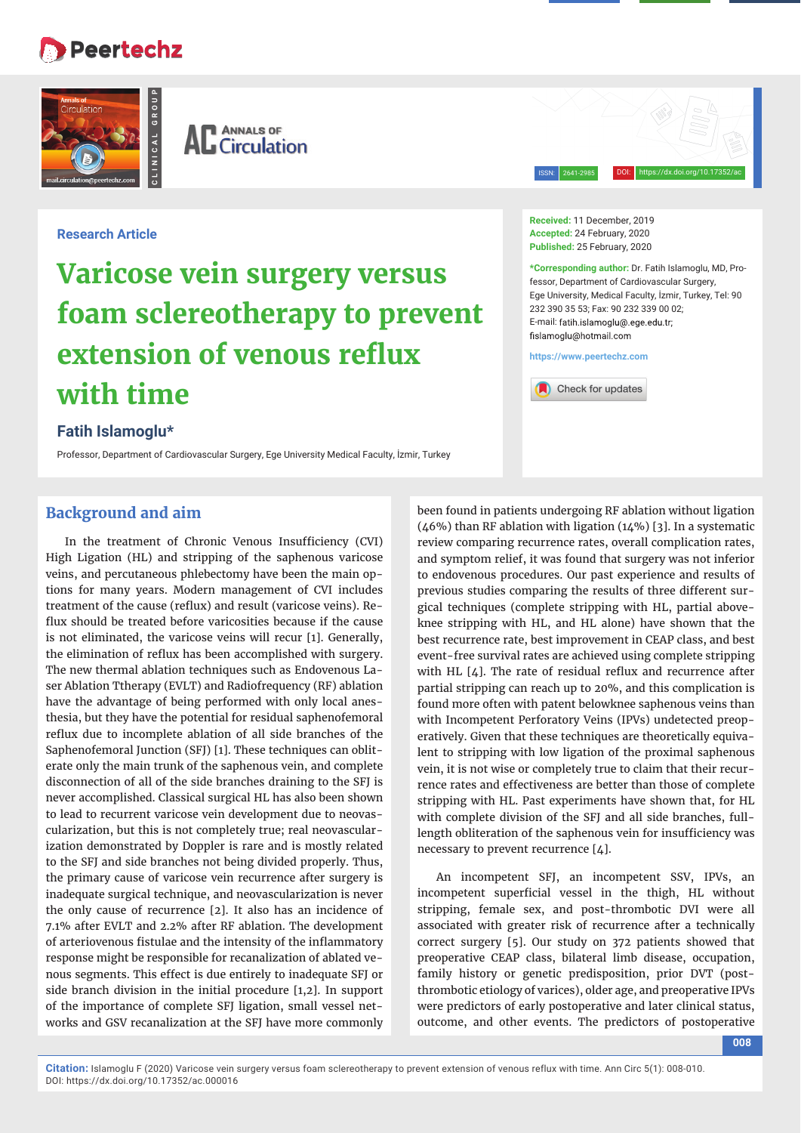# **Peertechz**





ISSN: 2641-2985

DOI: https://dx.doi.org/10.17352/ac

### **Research Article**

# **Varicose vein surgery versus foam sclereotherapy to prevent extension of venous reflux with time**

# **Fatih Islamoglu\***

Professor, Department of Cardiovascular Surgery, Ege University Medical Faculty, İzmir, Turkey

#### **Received:** 11 December, 2019 **Accepted:** 24 February, 2020 **Published:** 25 February, 2020

**\*Corresponding author:** Dr. Fatih Islamoglu, MD, Professor, Department of Cardiovascular Surgery, Ege University, Medical Faculty, İzmir, Turkey, Tel: 90 232 390 35 53; Fax: 90 232 339 00 02; E-mail: fatih islamoglu@ ege edu tr fislamoglu@hotmail.com

**https://www.peertechz.com**



# **Background and aim**

In the treatment of Chronic Venous Insufficiency (CVI) High Ligation (HL) and stripping of the saphenous varicose veins, and percutaneous phlebectomy have been the main options for many years. Modern management of CVI includes treatment of the cause (reflux) and result (varicose veins). Reflux should be treated before varicosities because if the cause is not eliminated, the varicose veins will recur [1]. Generally, the elimination of reflux has been accomplished with surgery. The new thermal ablation techniques such as Endovenous Laser Ablation Ttherapy (EVLT) and Radiofrequency (RF) ablation have the advantage of being performed with only local anesthesia, but they have the potential for residual saphenofemoral reflux due to incomplete ablation of all side branches of the Saphenofemoral Junction (SFJ) [1]. These techniques can obliterate only the main trunk of the saphenous vein, and complete disconnection of all of the side branches draining to the SFJ is never accomplished. Classical surgical HL has also been shown to lead to recurrent varicose vein development due to neovascularization, but this is not completely true; real neovascularization demonstrated by Doppler is rare and is mostly related to the SFJ and side branches not being divided properly. Thus, the primary cause of varicose vein recurrence after surgery is inadequate surgical technique, and neovascularization is never the only cause of recurrence [2]. It also has an incidence of 7.1% after EVLT and 2.2% after RF ablation. The development of arteriovenous fistulae and the intensity of the inflammatory response might be responsible for recanalization of ablated venous segments. This effect is due entirely to inadequate SFJ or side branch division in the initial procedure [1,2]. In support of the importance of complete SFJ ligation, small vessel networks and GSV recanalization at the SFJ have more commonly

been found in patients undergoing RF ablation without ligation (46%) than RF ablation with ligation (14%) [3]. In a systematic review comparing recurrence rates, overall complication rates, and symptom relief, it was found that surgery was not inferior to endovenous procedures. Our past experience and results of previous studies comparing the results of three different surgical techniques (complete stripping with HL, partial aboveknee stripping with HL, and HL alone) have shown that the best recurrence rate, best improvement in CEAP class, and best event-free survival rates are achieved using complete stripping with HL  $[4]$ . The rate of residual reflux and recurrence after partial stripping can reach up to 20%, and this complication is found more often with patent belowknee saphenous veins than with Incompetent Perforatory Veins (IPVs) undetected preoperatively. Given that these techniques are theoretically equivalent to stripping with low ligation of the proximal saphenous vein, it is not wise or completely true to claim that their recurrence rates and effectiveness are better than those of complete stripping with HL. Past experiments have shown that, for HL with complete division of the SFJ and all side branches, fulllength obliteration of the saphenous vein for insufficiency was necessary to prevent recurrence [4].

An incompetent SFJ, an incompetent SSV, IPVs, an incompetent superficial vessel in the thigh, HL without stripping, female sex, and post-thrombotic DVI were all associated with greater risk of recurrence after a technically correct surgery [5]. Our study on 372 patients showed that preoperative CEAP class, bilateral limb disease, occupation, family history or genetic predisposition, prior DVT (postthrombotic etiology of varices), older age, and preoperative IPVs were predictors of early postoperative and later clinical status, outcome, and other events. The predictors of postoperative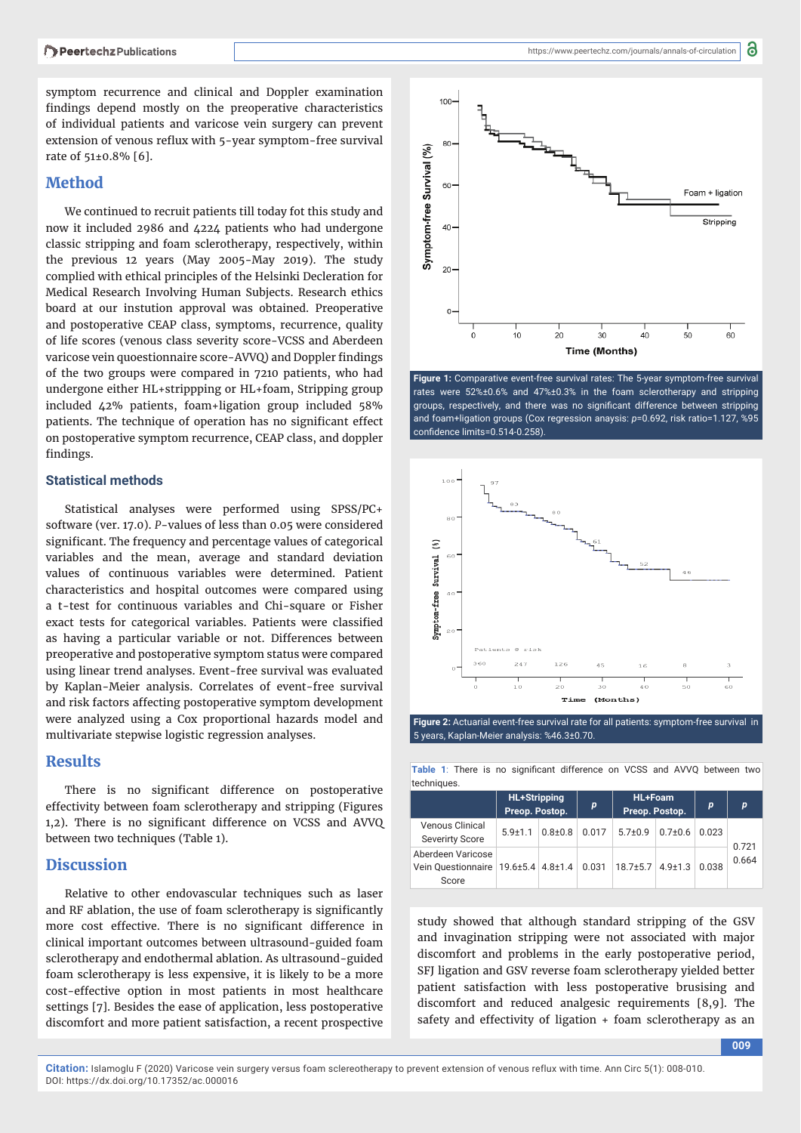symptom recurrence and clinical and Doppler examination findings depend mostly on the preoperative characteristics of individual patients and varicose vein surgery can prevent extension of venous reflux with 5-year symptom-free survival rate of 51±0.8% [6].

# **Method**

We continued to recruit patients till today fot this study and now it included 2986 and 4224 patients who had undergone classic stripping and foam sclerotherapy, respectively, within the previous 12 years (May 2005-May 2019). The study complied with ethical principles of the Helsinki Decleration for Medical Research Involving Human Subjects. Research ethics board at our instution approval was obtained. Preoperative and postoperative CEAP class, symptoms, recurrence, quality of life scores (venous class severity score-VCSS and Aberdeen varicose vein quoestionnaire score-AVVQ) and Doppler findings of the two groups were compared in 7210 patients, who had undergone either HL+strippping or HL+foam, Stripping group included 42% patients, foam+ligation group included 58% patients. The technique of operation has no significant effect on postoperative symptom recurrence, CEAP class, and doppler findings.

#### **Statistical methods**

Statistical analyses were performed using SPSS/PC+ software (ver. 17.0). *P*-values of less than 0.05 were considered significant. The frequency and percentage values of categorical variables and the mean, average and standard deviation values of continuous variables were determined. Patient characteristics and hospital outcomes were compared using a t-test for continuous variables and Chi-square or Fisher exact tests for categorical variables. Patients were classified as having a particular variable or not. Differences between preoperative and postoperative symptom status were compared using linear trend analyses. Event-free survival was evaluated by Kaplan-Meier analysis. Correlates of event-free survival and risk factors affecting postoperative symptom development were analyzed using a Cox proportional hazards model and multivariate stepwise logistic regression analyses.

## **Results**

There is no significant difference on postoperative effectivity between foam sclerotherapy and stripping (Figures 1,2). There is no significant difference on VCSS and AVVQ between two techniques (Table 1).

#### **Discussion**

Relative to other endovascular techniques such as laser and RF ablation, the use of foam sclerotherapy is significantly more cost effective. There is no significant difference in clinical important outcomes between ultrasound-guided foam sclerotherapy and endothermal ablation. As ultrasound-guided foam sclerotherapy is less expensive, it is likely to be a more cost-effective option in most patients in most healthcare settings [7]. Besides the ease of application, less postoperative discomfort and more patient satisfaction, a recent prospective



**Figure 1:** Comparative event-free survival rates: The 5-year symptom-free survival rates were 52%±0.6% and 47%±0.3% in the foam sclerotherapy and stripping groups, respectively, and there was no significant difference between stripping and foam+ligation groups (Cox regression anaysis: *p*=0.692, risk ratio=1.127, %95 confidence limits=0.514-0.258).



**Figure 2:** Actuarial event-free survival rate for all patients: symptom-free survival in 5 years, Kaplan-Meier analysis: %46.3±0.70.

Table 1: There is no significant difference on VCSS and AVVQ between two techniques

|                                                  | <b>HL+Stripping</b><br>Preop. Postop. |             | p     | <b>HL+Foam</b><br>Preop. Postop. |             | p     | p     |
|--------------------------------------------------|---------------------------------------|-------------|-------|----------------------------------|-------------|-------|-------|
| <b>Venous Clinical</b><br><b>Severirty Score</b> | $59+11$                               | $0.8 + 0.8$ | 0.017 | $57+09$                          | $0.7 + 0.6$ | 0.023 | 0.721 |
| Aberdeen Varicose<br>Vein Ouestionnaire<br>Score | $19.6 \pm 5.4$ 4.8 $\pm 1.4$          |             | 0.031 | $18.7 \pm 5.7$                   | $4.9 + 1.3$ | 0.038 | 0.664 |

study showed that although standard stripping of the GSV and invagination stripping were not associated with major discomfort and problems in the early postoperative period, SFJ ligation and GSV reverse foam sclerotherapy yielded better patient satisfaction with less postoperative brusising and discomfort and reduced analgesic requirements [8,9]. The safety and effectivity of ligation + foam sclerotherapy as an

**009**